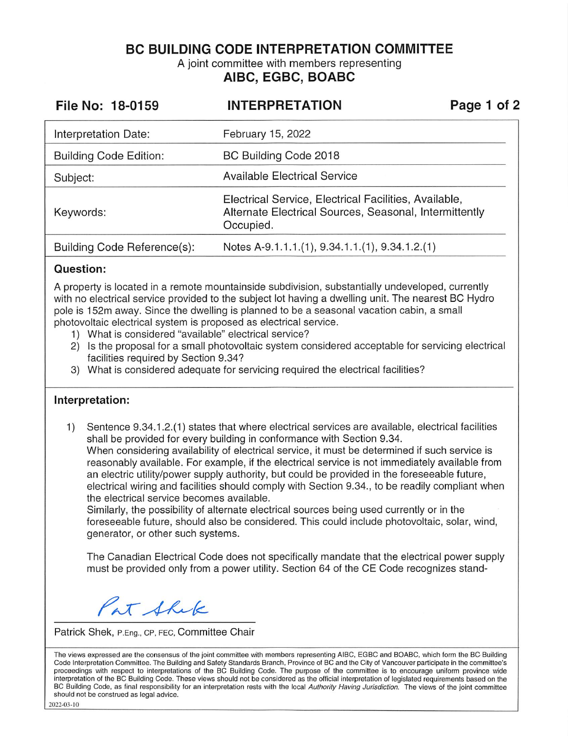**BC BUILDING CODE INTERPRETATION COMMITTEE** 

A joint committee with members representing **AIBC, EGBC, BOABC** 

| File No: 18-0159              | <b>INTERPRETATION</b>                                                                                                        | Page 1 of 2 |
|-------------------------------|------------------------------------------------------------------------------------------------------------------------------|-------------|
| Interpretation Date:          | February 15, 2022                                                                                                            |             |
| <b>Building Code Edition:</b> | BC Building Code 2018                                                                                                        |             |
| Subject:                      | <b>Available Electrical Service</b>                                                                                          |             |
| Keywords:                     | Electrical Service, Electrical Facilities, Available,<br>Alternate Electrical Sources, Seasonal, Intermittently<br>Occupied. |             |
| Building Code Reference(s):   | Notes A-9.1.1.1.(1), 9.34.1.1.(1), 9.34.1.2.(1)                                                                              |             |

## **Question:**

A property is located in a remote mountainside subdivision, substantially undeveloped, currently with no electrical service provided to the subject lot having a dwelling unit. The nearest BC Hydro pole is 152m away. Since the dwelling is planned to be a seasonal vacation cabin, a small photovoltaic electrical system is proposed as electrical service.

- 1) What is considered "available" electrical service?
- 2) Is the proposal for a small photovoltaic system considered acceptable for servicing electrical facilities required by Section 9.34?
- 3) What is considered adequate for servicing required the electrical facilities?

## **Interpretation:**

1) Sentence 9.34.1.2.(1) states that where electrical services are available, electrical facilities shall be provided for every building in conformance with Section 9.34. When considering availability of electrical service, it must be determined if such service is reasonably available. For example, if the electrical service is not immediately available from an electric utility/power supply authority, but could be provided in the foreseeable future, electrical wiring and facilities should comply with Section 9.34., to be readily compliant when the electrical service becomes available.

Similarly, the possibility of alternate electrical sources being used currently or in the foreseeable future, should also be considered. This could include photovoltaic, solar, wind, generator, or other such systems.

The Canadian Electrical Code does not specifically mandate that the electrical power supply must be provided only from a power utility. Section 64 of the CE Code recognizes stand-

Pat Shek

Patrick Shek, P.Eng., CP, FEC, Committee Chair

The views expressed are the consensus of the joint committee with members representing AIBC, EGBC and BOABC, which form the BC Building Code Interpretation Committee. The Building and Safety Standards Branch, Province of BC and the City of Vancouver participate in the committee's proceedings with respect to interpretations of the BC Building Code. The purpose of the committee is to encourage uniform province wide interpretation of the BC Building Code. These views should not be considered as the official interpretation of legislated requirements based on the BC Building Code, as final responsibility for an interpretation rests with the local Authority Having Jurisdiction. The views of the joint committee should not be construed as legal advice.